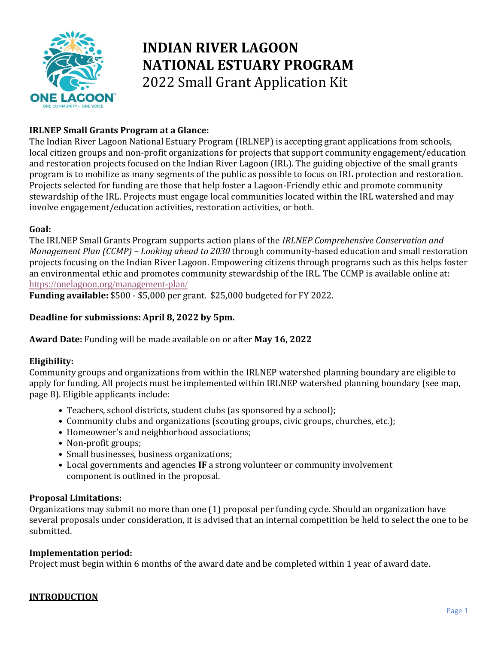

# **INDIAN RIVER LAGOON NATIONAL ESTUARY PROGRAM**  2022 Small Grant Application Kit

### **IRLNEP Small Grants Program at a Glance:**

The Indian River Lagoon National Estuary Program (IRLNEP) is accepting grant applications from schools, local citizen groups and non-profit organizations for projects that support community engagement/education and restoration projects focused on the Indian River Lagoon (IRL). The guiding objective of the small grants program is to mobilize as many segments of the public as possible to focus on IRL protection and restoration. Projects selected for funding are those that help foster a Lagoon-Friendly ethic and promote community stewardship of the IRL. Projects must engage local communities located within the IRL watershed and may involve engagement/education activities, restoration activities, or both.

### **Goal:**

The IRLNEP Small Grants Program supports action plans of the *IRLNEP Comprehensive Conservation and Management Plan (CCMP) – Looking ahead to 2030* through community-based education and small restoration projects focusing on the Indian River Lagoon. Empowering citizens through programs such as this helps foster an environmental ethic and promotes community stewardship of the IRL. The CCMP is available online at: <https://onelagoon.org/management-plan/>

**Funding available:** \$500 - \$5,000 per grant. \$25,000 budgeted for FY 2022.

### **Deadline for submissions: April 8, 2022 by 5pm.**

**Award Date:** Funding will be made available on or after **May 16, 2022**

### **Eligibility:**

Community groups and organizations from within the IRLNEP watershed planning boundary are eligible to apply for funding. All projects must be implemented within IRLNEP watershed planning boundary (see map, page 8). Eligible applicants include:

- Teachers, school districts, student clubs (as sponsored by a school);
- Community clubs and organizations (scouting groups, civic groups, churches, etc.);
- Homeowner's and neighborhood associations;
- Non-profit groups;
- Small businesses, business organizations;
- Local governments and agencies **IF** a strong volunteer or community involvement component is outlined in the proposal.

#### **Proposal Limitations:**

Organizations may submit no more than one (1) proposal per funding cycle. Should an organization have several proposals under consideration, it is advised that an internal competition be held to select the one to be submitted.

#### **Implementation period:**

Project must begin within 6 months of the award date and be completed within 1 year of award date.

#### **INTRODUCTION**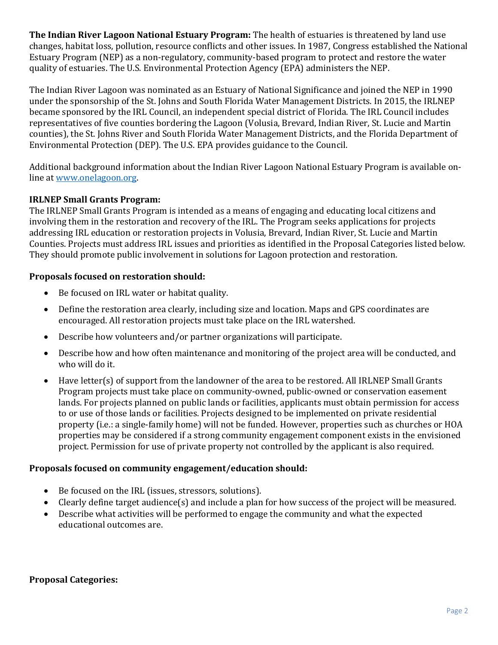**The Indian River Lagoon National Estuary Program:** The health of estuaries is threatened by land use changes, habitat loss, pollution, resource conflicts and other issues. In 1987, Congress established the National Estuary Program (NEP) as a non-regulatory, community-based program to protect and restore the water quality of estuaries. The U.S. Environmental Protection Agency (EPA) administers the NEP.

The Indian River Lagoon was nominated as an Estuary of National Significance and joined the NEP in 1990 under the sponsorship of the St. Johns and South Florida Water Management Districts. In 2015, the IRLNEP became sponsored by the IRL Council, an independent special district of Florida. The IRL Council includes representatives of five counties bordering the Lagoon (Volusia, Brevard, Indian River, St. Lucie and Martin counties), the St. Johns River and South Florida Water Management Districts, and the Florida Department of Environmental Protection (DEP). The U.S. EPA provides guidance to the Council.

Additional background information about the Indian River Lagoon National Estuary Program is available online at [www.onelagoon.org.](http://www.onelagoon.org/)

### **IRLNEP Small Grants Program:**

The IRLNEP Small Grants Program is intended as a means of engaging and educating local citizens and involving them in the restoration and recovery of the IRL. The Program seeks applications for projects addressing IRL education or restoration projects in Volusia, Brevard, Indian River, St. Lucie and Martin Counties. Projects must address IRL issues and priorities as identified in the Proposal Categories listed below. They should promote public involvement in solutions for Lagoon protection and restoration.

### **Proposals focused on restoration should:**

- Be focused on IRL water or habitat quality.
- Define the restoration area clearly, including size and location. Maps and GPS coordinates are encouraged. All restoration projects must take place on the IRL watershed.
- Describe how volunteers and/or partner organizations will participate.
- Describe how and how often maintenance and monitoring of the project area will be conducted, and who will do it.
- Have letter(s) of support from the landowner of the area to be restored. All IRLNEP Small Grants Program projects must take place on community-owned, public-owned or conservation easement lands. For projects planned on public lands or facilities, applicants must obtain permission for access to or use of those lands or facilities. Projects designed to be implemented on private residential property (i.e.: a single-family home) will not be funded. However, properties such as churches or HOA properties may be considered if a strong community engagement component exists in the envisioned project. Permission for use of private property not controlled by the applicant is also required.

### **Proposals focused on community engagement/education should:**

- Be focused on the IRL (issues, stressors, solutions).
- Clearly define target audience(s) and include a plan for how success of the project will be measured.
- Describe what activities will be performed to engage the community and what the expected educational outcomes are.

#### **Proposal Categories:**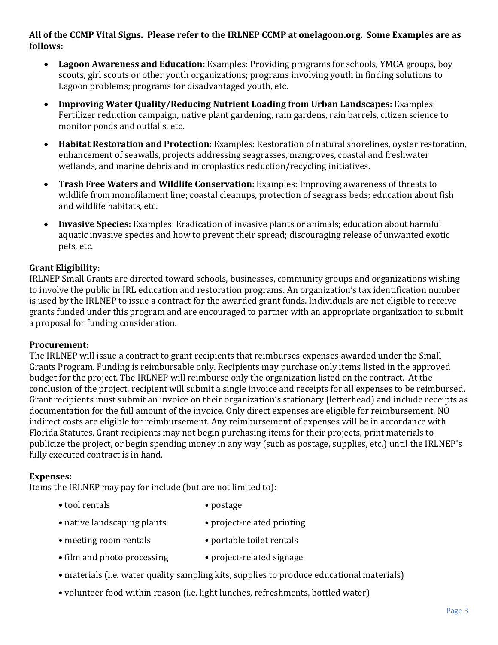### **All of the CCMP Vital Signs. Please refer to the IRLNEP CCMP at onelagoon.org. Some Examples are as follows:**

- **Lagoon Awareness and Education:** Examples: Providing programs for schools, YMCA groups, boy scouts, girl scouts or other youth organizations; programs involving youth in finding solutions to Lagoon problems; programs for disadvantaged youth, etc.
- **Improving Water Quality/Reducing Nutrient Loading from Urban Landscapes:** Examples: Fertilizer reduction campaign, native plant gardening, rain gardens, rain barrels, citizen science to monitor ponds and outfalls, etc.
- **Habitat Restoration and Protection:** Examples: Restoration of natural shorelines, oyster restoration, enhancement of seawalls, projects addressing seagrasses, mangroves, coastal and freshwater wetlands, and marine debris and microplastics reduction/recycling initiatives.
- **Trash Free Waters and Wildlife Conservation:** Examples: Improving awareness of threats to wildlife from monofilament line; coastal cleanups, protection of seagrass beds; education about fish and wildlife habitats, etc.
- **Invasive Species:** Examples: Eradication of invasive plants or animals; education about harmful aquatic invasive species and how to prevent their spread; discouraging release of unwanted exotic pets, etc.

### **Grant Eligibility:**

IRLNEP Small Grants are directed toward schools, businesses, community groups and organizations wishing to involve the public in IRL education and restoration programs. An organization's tax identification number is used by the IRLNEP to issue a contract for the awarded grant funds. Individuals are not eligible to receive grants funded under this program and are encouraged to partner with an appropriate organization to submit a proposal for funding consideration.

### **Procurement:**

The IRLNEP will issue a contract to grant recipients that reimburses expenses awarded under the Small Grants Program. Funding is reimbursable only. Recipients may purchase only items listed in the approved budget for the project. The IRLNEP will reimburse only the organization listed on the contract. At the conclusion of the project, recipient will submit a single invoice and receipts for all expenses to be reimbursed. Grant recipients must submit an invoice on their organization's stationary (letterhead) and include receipts as documentation for the full amount of the invoice. Only direct expenses are eligible for reimbursement. NO indirect costs are eligible for reimbursement. Any reimbursement of expenses will be in accordance with Florida Statutes. Grant recipients may not begin purchasing items for their projects, print materials to publicize the project, or begin spending money in any way (such as postage, supplies, etc.) until the IRLNEP's fully executed contract is in hand.

### **Expenses:**

Items the IRLNEP may pay for include (but are not limited to):

- tool rentals postage
- native landscaping plants project-related printing
- meeting room rentals portable toilet rentals
- film and photo processing project-related signage
- materials (i.e. water quality sampling kits, supplies to produce educational materials)
- volunteer food within reason (i.e. light lunches, refreshments, bottled water)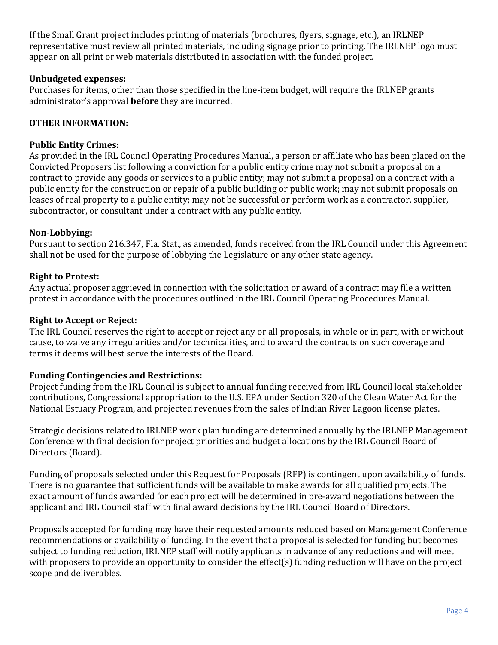If the Small Grant project includes printing of materials (brochures, flyers, signage, etc.), an IRLNEP representative must review all printed materials, including signage prior to printing. The IRLNEP logo must appear on all print or web materials distributed in association with the funded project.

### **Unbudgeted expenses:**

Purchases for items, other than those specified in the line-item budget, will require the IRLNEP grants administrator's approval **before** they are incurred.

### **OTHER INFORMATION:**

### **Public Entity Crimes:**

As provided in the IRL Council Operating Procedures Manual, a person or affiliate who has been placed on the Convicted Proposers list following a conviction for a public entity crime may not submit a proposal on a contract to provide any goods or services to a public entity; may not submit a proposal on a contract with a public entity for the construction or repair of a public building or public work; may not submit proposals on leases of real property to a public entity; may not be successful or perform work as a contractor, supplier, subcontractor, or consultant under a contract with any public entity.

### **Non-Lobbying:**

Pursuant to section 216.347, Fla. Stat., as amended, funds received from the IRL Council under this Agreement shall not be used for the purpose of lobbying the Legislature or any other state agency.

### **Right to Protest:**

Any actual proposer aggrieved in connection with the solicitation or award of a contract may file a written protest in accordance with the procedures outlined in the IRL Council Operating Procedures Manual.

### **Right to Accept or Reject:**

The IRL Council reserves the right to accept or reject any or all proposals, in whole or in part, with or without cause, to waive any irregularities and/or technicalities, and to award the contracts on such coverage and terms it deems will best serve the interests of the Board.

### **Funding Contingencies and Restrictions:**

Project funding from the IRL Council is subject to annual funding received from IRL Council local stakeholder contributions, Congressional appropriation to the U.S. EPA under Section 320 of the Clean Water Act for the National Estuary Program, and projected revenues from the sales of Indian River Lagoon license plates.

Strategic decisions related to IRLNEP work plan funding are determined annually by the IRLNEP Management Conference with final decision for project priorities and budget allocations by the IRL Council Board of Directors (Board).

Funding of proposals selected under this Request for Proposals (RFP) is contingent upon availability of funds. There is no guarantee that sufficient funds will be available to make awards for all qualified projects. The exact amount of funds awarded for each project will be determined in pre-award negotiations between the applicant and IRL Council staff with final award decisions by the IRL Council Board of Directors.

Proposals accepted for funding may have their requested amounts reduced based on Management Conference recommendations or availability of funding. In the event that a proposal is selected for funding but becomes subject to funding reduction, IRLNEP staff will notify applicants in advance of any reductions and will meet with proposers to provide an opportunity to consider the effect(s) funding reduction will have on the project scope and deliverables.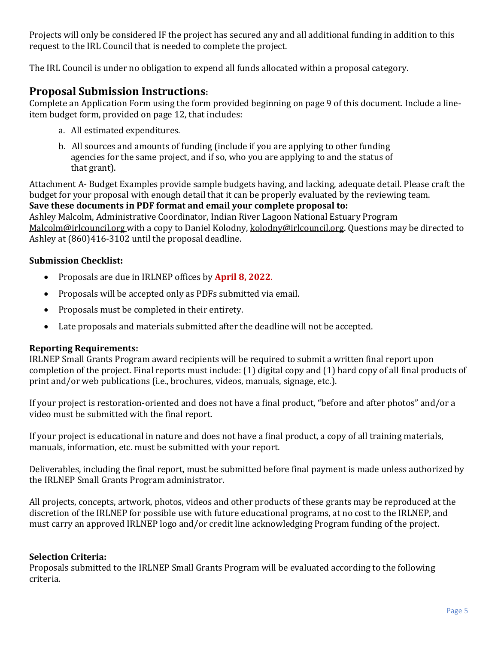Projects will only be considered IF the project has secured any and all additional funding in addition to this request to the IRL Council that is needed to complete the project.

The IRL Council is under no obligation to expend all funds allocated within a proposal category.

### **Proposal Submission Instructions:**

Complete an Application Form using the form provided beginning on page 9 of this document. Include a lineitem budget form, provided on page 12, that includes:

- a. All estimated expenditures.
- b. All sources and amounts of funding (include if you are applying to other funding agencies for the same project, and if so, who you are applying to and the status of that grant).

Attachment A- Budget Examples provide sample budgets having, and lacking, adequate detail. Please craft the budget for your proposal with enough detail that it can be properly evaluated by the reviewing team.

**Save these documents in PDF format and email your complete proposal to:**  Ashley Malcolm, Administrative Coordinator, Indian River Lagoon National Estuary Program [Malcolm@irlcouncil.org](mailto:Malcolm@irlcouncil.org) with a copy to Daniel Kolodny, kolodny@irlcouncil.org. Questions may be directed to Ashley at (860)416-3102 until the proposal deadline.

### **Submission Checklist:**

- Proposals are due in IRLNEP offices by **April 8, 2022**.
- Proposals will be accepted only as PDFs submitted via email.
- Proposals must be completed in their entirety.
- Late proposals and materials submitted after the deadline will not be accepted.

### **Reporting Requirements:**

IRLNEP Small Grants Program award recipients will be required to submit a written final report upon completion of the project. Final reports must include: (1) digital copy and (1) hard copy of all final products of print and/or web publications (i.e., brochures, videos, manuals, signage, etc.).

If your project is restoration-oriented and does not have a final product, "before and after photos" and/or a video must be submitted with the final report.

If your project is educational in nature and does not have a final product, a copy of all training materials, manuals, information, etc. must be submitted with your report.

Deliverables, including the final report, must be submitted before final payment is made unless authorized by the IRLNEP Small Grants Program administrator.

All projects, concepts, artwork, photos, videos and other products of these grants may be reproduced at the discretion of the IRLNEP for possible use with future educational programs, at no cost to the IRLNEP, and must carry an approved IRLNEP logo and/or credit line acknowledging Program funding of the project.

### **Selection Criteria:**

Proposals submitted to the IRLNEP Small Grants Program will be evaluated according to the following criteria.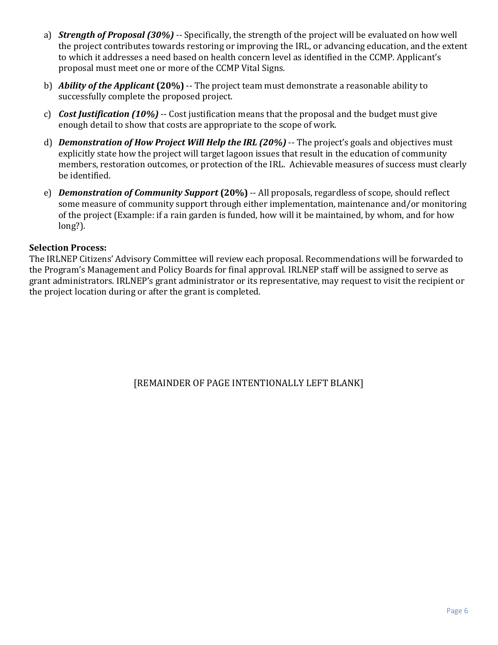- a) *Strength of Proposal (30%) --* Specifically, the strength of the project will be evaluated on how well the project contributes towards restoring or improving the IRL, or advancing education, and the extent to which it addresses a need based on health concern level as identified in the CCMP. Applicant's proposal must meet one or more of the CCMP Vital Signs.
- b) *Ability of the Applicant* **(20%)** -- The project team must demonstrate a reasonable ability to successfully complete the proposed project.
- c) *Cost Justification (10%)* -- Cost justification means that the proposal and the budget must give enough detail to show that costs are appropriate to the scope of work.
- d) **Demonstration of How Project Will Help the IRL (20%)** -- The project's goals and objectives must explicitly state how the project will target lagoon issues that result in the education of community members, restoration outcomes, or protection of the IRL. Achievable measures of success must clearly be identified.
- e) *Demonstration of Community Support* **(20%)** -- All proposals, regardless of scope, should reflect some measure of community support through either implementation, maintenance and/or monitoring of the project (Example: if a rain garden is funded, how will it be maintained, by whom, and for how long?).

### **Selection Process:**

The IRLNEP Citizens' Advisory Committee will review each proposal. Recommendations will be forwarded to the Program's Management and Policy Boards for final approval. IRLNEP staff will be assigned to serve as grant administrators. IRLNEP's grant administrator or its representative, may request to visit the recipient or the project location during or after the grant is completed.

[REMAINDER OF PAGE INTENTIONALLY LEFT BLANK]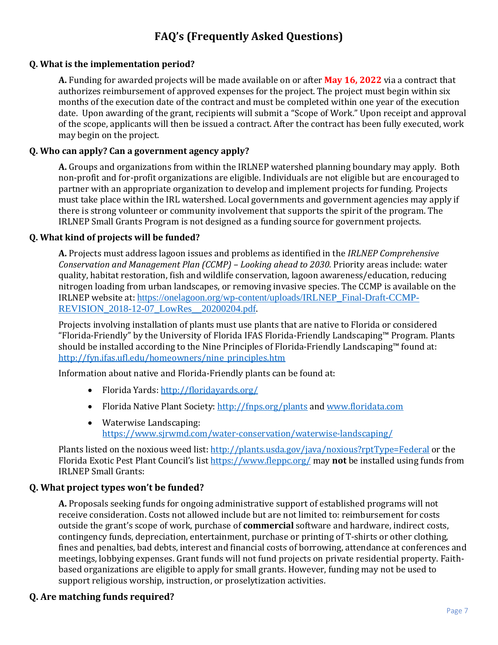## **FAQ's (Frequently Asked Questions)**

### **Q. What is the implementation period?**

**A.** Funding for awarded projects will be made available on or after **May 16, 2022** via a contract that authorizes reimbursement of approved expenses for the project. The project must begin within six months of the execution date of the contract and must be completed within one year of the execution date. Upon awarding of the grant, recipients will submit a "Scope of Work." Upon receipt and approval of the scope, applicants will then be issued a contract. After the contract has been fully executed, work may begin on the project.

### **Q. Who can apply? Can a government agency apply?**

**A.** Groups and organizations from within the IRLNEP watershed planning boundary may apply. Both non-profit and for-profit organizations are eligible. Individuals are not eligible but are encouraged to partner with an appropriate organization to develop and implement projects for funding. Projects must take place within the IRL watershed. Local governments and government agencies may apply if there is strong volunteer or community involvement that supports the spirit of the program. The IRLNEP Small Grants Program is not designed as a funding source for government projects.

### **Q. What kind of projects will be funded?**

**A.** Projects must address lagoon issues and problems as identified in the *IRLNEP Comprehensive Conservation and Management Plan (CCMP) – Looking ahead to 2030.* Priority areas include: water quality, habitat restoration, fish and wildlife conservation, lagoon awareness/education, reducing nitrogen loading from urban landscapes, or removing invasive species. The CCMP is available on the IRLNEP website at: [https://onelagoon.org/wp-content/uploads/IRLNEP\\_Final-Draft-CCMP-](https://onelagoon.org/wp-content/uploads/IRLNEP_Final-Draft-CCMP-REVISION_2018-12-07_LowRes__20200204.pdf)[REVISION\\_2018-12-07\\_LowRes\\_\\_20200204.pdf](https://onelagoon.org/wp-content/uploads/IRLNEP_Final-Draft-CCMP-REVISION_2018-12-07_LowRes__20200204.pdf).

Projects involving installation of plants must use plants that are native to Florida or considered "Florida-Friendly" by the University of Florida IFAS Florida-Friendly Landscaping™ Program. Plants should be installed according to the Nine Principles of Florida-Friendly Landscaping™ found at: [http://fyn.ifas.ufl.edu/homeowners/nine\\_principles.htm](http://fyn.ifas.ufl.edu/homeowners/nine_principles.htm)

Information about native and Florida-Friendly plants can be found at:

- Florida Yards: <http://floridayards.org/>
- Florida Native Plant Society:<http://fnps.org/plants> and [www.floridata.com](http://www.floridata.com/)
- Waterwise Landscaping: <https://www.sjrwmd.com/water-conservation/waterwise-landscaping/>

Plants listed on the noxious weed list: <http://plants.usda.gov/java/noxious?rptType=Federal> or the Florida Exotic Pest Plant Council's list<https://www.fleppc.org/> may **not** be installed using funds from IRLNEP Small Grants:

### **Q. What project types won't be funded?**

**A.** Proposals seeking funds for ongoing administrative support of established programs will not receive consideration. Costs not allowed include but are not limited to: reimbursement for costs outside the grant's scope of work, purchase of **commercial** software and hardware, indirect costs, contingency funds, depreciation, entertainment, purchase or printing of T-shirts or other clothing, fines and penalties, bad debts, interest and financial costs of borrowing, attendance at conferences and meetings, lobbying expenses. Grant funds will not fund projects on private residential property. Faithbased organizations are eligible to apply for small grants. However, funding may not be used to support religious worship, instruction, or proselytization activities.

### **Q. Are matching funds required?**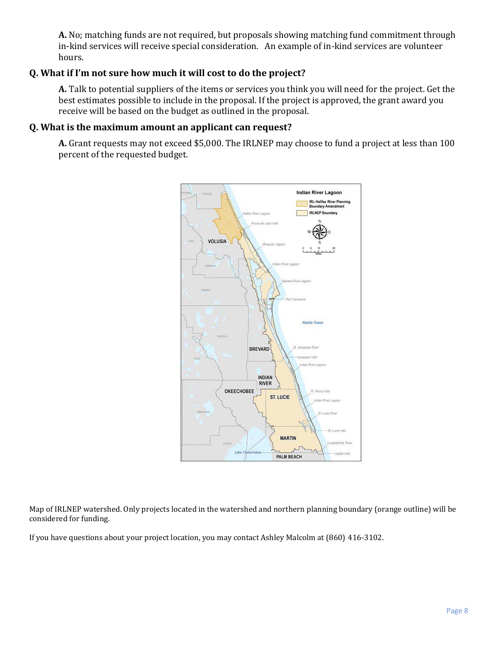**A.** No; matching funds are not required, but proposals showing matching fund commitment through in-kind services will receive special consideration. An example of in-kind services are volunteer hours.

### **Q. What if I'm not sure how much it will cost to do the project?**

**A.** Talk to potential suppliers of the items or services you think you will need for the project. Get the best estimates possible to include in the proposal. If the project is approved, the grant award you receive will be based on the budget as outlined in the proposal.

### **Q. What is the maximum amount an applicant can request?**

**A.** Grant requests may not exceed \$5,000. The IRLNEP may choose to fund a project at less than 100 percent of the requested budget.



Map of IRLNEP watershed. Only projects located in the watershed and northern planning boundary (orange outline) will be considered for funding.

If you have questions about your project location, you may contact Ashley Malcolm at (860) 416-3102.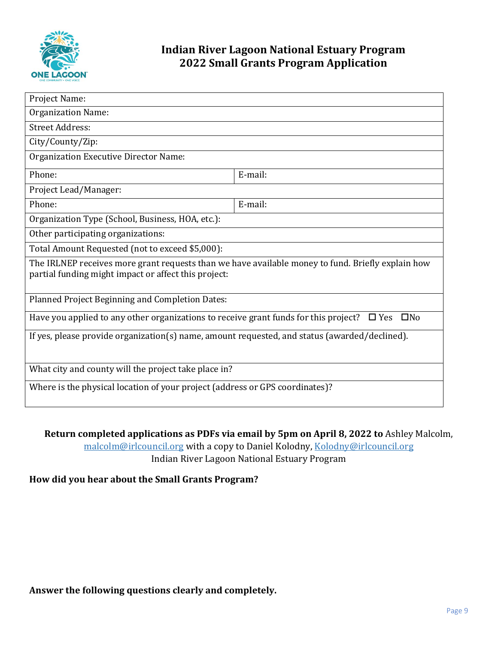

### **Indian River Lagoon National Estuary Program 2022 Small Grants Program Application**

| Project Name:                                                                                                                                             |         |  |  |  |
|-----------------------------------------------------------------------------------------------------------------------------------------------------------|---------|--|--|--|
| <b>Organization Name:</b>                                                                                                                                 |         |  |  |  |
| <b>Street Address:</b>                                                                                                                                    |         |  |  |  |
| City/County/Zip:                                                                                                                                          |         |  |  |  |
| <b>Organization Executive Director Name:</b>                                                                                                              |         |  |  |  |
| Phone:                                                                                                                                                    | E-mail: |  |  |  |
| Project Lead/Manager:                                                                                                                                     |         |  |  |  |
| Phone:                                                                                                                                                    | E-mail: |  |  |  |
| Organization Type (School, Business, HOA, etc.):                                                                                                          |         |  |  |  |
| Other participating organizations:                                                                                                                        |         |  |  |  |
| Total Amount Requested (not to exceed \$5,000):                                                                                                           |         |  |  |  |
| The IRLNEP receives more grant requests than we have available money to fund. Briefly explain how<br>partial funding might impact or affect this project: |         |  |  |  |
| Planned Project Beginning and Completion Dates:                                                                                                           |         |  |  |  |
| Have you applied to any other organizations to receive grant funds for this project? $\square$ Yes<br>$\square$ No                                        |         |  |  |  |
| If yes, please provide organization(s) name, amount requested, and status (awarded/declined).                                                             |         |  |  |  |
| What city and county will the project take place in?                                                                                                      |         |  |  |  |
| Where is the physical location of your project (address or GPS coordinates)?                                                                              |         |  |  |  |

### **Return completed applications as PDFs via email by 5pm on April 8, 2022 to** Ashley Malcolm,

[malcolm@irlcouncil.org](mailto:malcolm@irlcouncil.org) with a copy to Daniel Kolodny, Kolodny@irlcouncil.org Indian River Lagoon National Estuary Program

### **How did you hear about the Small Grants Program?**

**Answer the following questions clearly and completely.**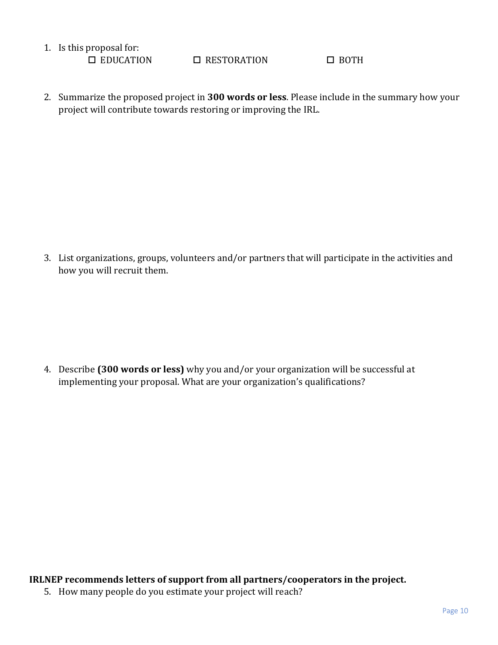1. Is this proposal for:<br> $\square$  EDUCATION

 $\Box$  RESTORATION  $\Box$  BOTH

2. Summarize the proposed project in **300 words or less**. Please include in the summary how your project will contribute towards restoring or improving the IRL.

3. List organizations, groups, volunteers and/or partners that will participate in the activities and how you will recruit them.

4. Describe **(300 words or less)** why you and/or your organization will be successful at implementing your proposal. What are your organization's qualifications?

**IRLNEP recommends letters of support from all partners/cooperators in the project.**

5. How many people do you estimate your project will reach?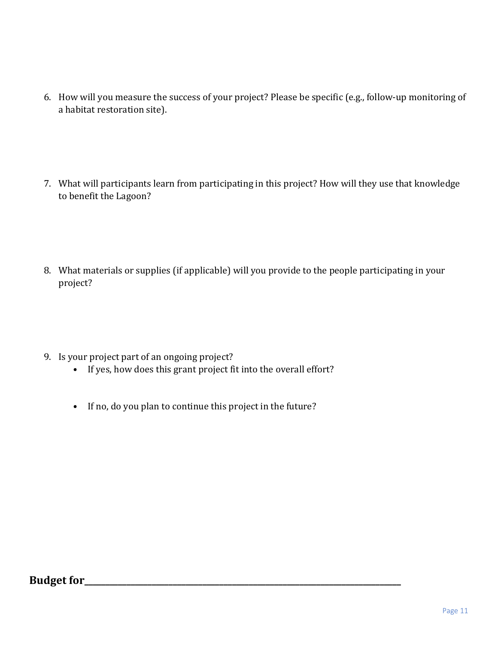- 6. How will you measure the success of your project? Please be specific (e.g., follow-up monitoring of a habitat restoration site).
- 7. What will participants learn from participating in this project? How will they use that knowledge to benefit the Lagoon?
- 8. What materials or supplies (if applicable) will you provide to the people participating in your project?
- 9. Is your project part of an ongoing project?
	- If yes, how does this grant project fit into the overall effort?
	- If no, do you plan to continue this project in the future?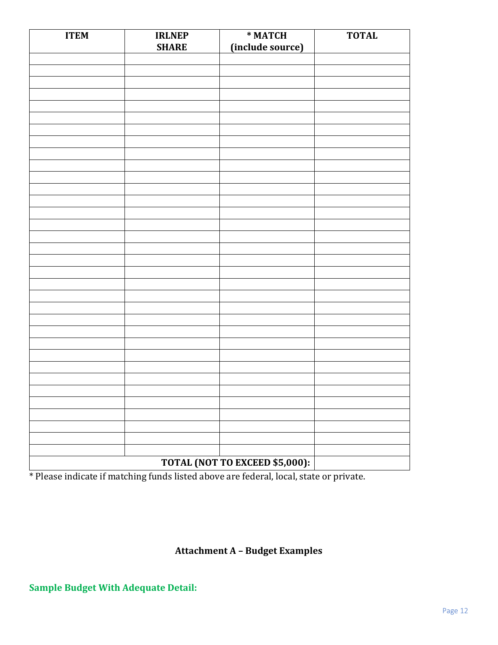| <b>ITEM</b> | <b>IRLNEP</b> | * MATCH                        | <b>TOTAL</b> |
|-------------|---------------|--------------------------------|--------------|
|             | <b>SHARE</b>  | (include source)               |              |
|             |               |                                |              |
|             |               |                                |              |
|             |               |                                |              |
|             |               |                                |              |
|             |               |                                |              |
|             |               |                                |              |
|             |               |                                |              |
|             |               |                                |              |
|             |               |                                |              |
|             |               |                                |              |
|             |               |                                |              |
|             |               |                                |              |
|             |               |                                |              |
|             |               |                                |              |
|             |               |                                |              |
|             |               |                                |              |
|             |               |                                |              |
|             |               |                                |              |
|             |               |                                |              |
|             |               |                                |              |
|             |               |                                |              |
|             |               |                                |              |
|             |               |                                |              |
|             |               |                                |              |
|             |               |                                |              |
|             |               |                                |              |
|             |               |                                |              |
|             |               |                                |              |
|             |               |                                |              |
|             |               |                                |              |
|             |               |                                |              |
|             |               |                                |              |
|             |               |                                |              |
|             |               |                                |              |
|             |               | TOTAL (NOT TO EXCEED \$5,000): |              |

\* Please indicate if matching funds listed above are federal, local, state or private.

### **Attachment A – Budget Examples**

### **Sample Budget With Adequate Detail:**